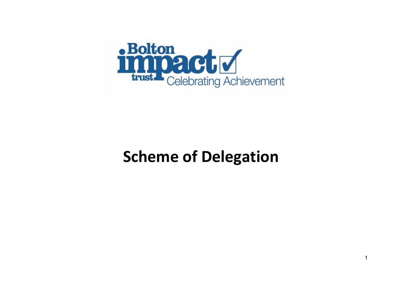

## **Scheme of Delegation**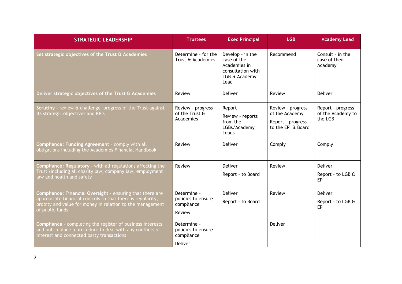| <b>STRATEGIC LEADERSHIP</b>                                                                                                                                                                              | <b>Trustees</b>                                            | <b>Exec Principal</b>                                                                         | <b>LGB</b>                                                                    | <b>Academy Lead</b>                               |
|----------------------------------------------------------------------------------------------------------------------------------------------------------------------------------------------------------|------------------------------------------------------------|-----------------------------------------------------------------------------------------------|-------------------------------------------------------------------------------|---------------------------------------------------|
| Set strategic objectives of the Trust & Academies                                                                                                                                                        | Determine - for the<br>Trust & Academies                   | Develop - in the<br>case of the<br>Academies in<br>consultation with<br>LGB & Academy<br>Lead | Recommend                                                                     | Consult - in the<br>case of their<br>Academy      |
| Deliver strategic objectives of the Trust & Academies                                                                                                                                                    | Review                                                     | Deliver                                                                                       | Review                                                                        | <b>Deliver</b>                                    |
| Scrutiny - review & challenge progress of the Trust against<br>its strategic objectives and KPIs                                                                                                         | Review - progress<br>of the Trust &<br>Academies           | Report<br>Review - reports<br>from the<br>LGBs/Academy<br>Leads                               | Review - progress<br>of the Academy<br>Report - progress<br>to the EP & Board | Report - progress<br>of the Academy to<br>the LGB |
| Compliance: Funding Agreement - comply with all<br>obligations including the Academies Financial Handbook                                                                                                | Review                                                     | Deliver                                                                                       | Comply                                                                        | Comply                                            |
| Compliance: Regulatory - with all regulations affecting the<br>Trust (including all charity law, company law, employment<br>law and health and safety                                                    | Review                                                     | Deliver<br>Report - to Board                                                                  | Review                                                                        | Deliver<br>Report - to LGB &<br>EP                |
| Compliance: Financial Oversight - ensuring that there are<br>appropriate financial controls so that there is regularity,<br>probity and value for money in relation to the management<br>of public funds | Determine -<br>policies to ensure<br>compliance<br>Review  | Deliver<br>Report - to Board                                                                  | Review                                                                        | Deliver<br>Report - to LGB &<br>EP                |
| Compliance - completing the register of business interests<br>and put in place a procedure to deal with any conflicts of<br>interest and connected party transactions                                    | Determine -<br>policies to ensure<br>compliance<br>Deliver |                                                                                               | Deliver                                                                       |                                                   |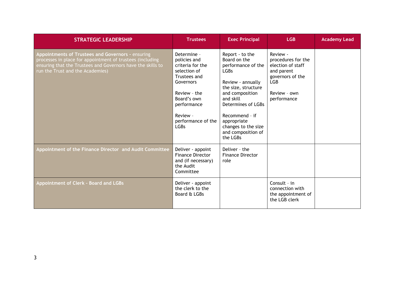| <b>STRATEGIC LEADERSHIP</b>                                                                                                                                                                                       | <b>Trustees</b>                                                                                                                                                                             | <b>Exec Principal</b>                                                                                                                                                                                                                                                 | <b>LGB</b>                                                                                                                         | <b>Academy Lead</b> |
|-------------------------------------------------------------------------------------------------------------------------------------------------------------------------------------------------------------------|---------------------------------------------------------------------------------------------------------------------------------------------------------------------------------------------|-----------------------------------------------------------------------------------------------------------------------------------------------------------------------------------------------------------------------------------------------------------------------|------------------------------------------------------------------------------------------------------------------------------------|---------------------|
| Appointments of Trustees and Governors - ensuring<br>processes in place for appointment of trustees (including<br>ensuring that the Trustees and Governors have the skills to<br>run the Trust and the Academies) | Determine -<br>policies and<br>criteria for the<br>selection of<br>Trustees and<br>Governors<br>Review - the<br>Board's own<br>performance<br>Review -<br>performance of the<br><b>LGBs</b> | Report - to the<br>Board on the<br>performance of the<br>LGB <sub>s</sub><br>Review - annually<br>the size, structure<br>and composition<br>and skill<br>Determines of LGBs<br>Recommend - if<br>appropriate<br>changes to the size<br>and composition of<br>the LGBs | Review -<br>procedures for the<br>election of staff<br>and parent<br>governors of the<br><b>LGB</b><br>Review - own<br>performance |                     |
| Appointment of the Finance Director and Audit Committee                                                                                                                                                           | Deliver - appoint<br><b>Finance Director</b><br>and (if necessary)<br>the Audit<br>Committee                                                                                                | Deliver - the<br><b>Finance Director</b><br>role                                                                                                                                                                                                                      |                                                                                                                                    |                     |
| <b>Appointment of Clerk - Board and LGBs</b>                                                                                                                                                                      | Deliver - appoint<br>the clerk to the<br>Board & LGBs                                                                                                                                       |                                                                                                                                                                                                                                                                       | Consult - in<br>connection with<br>the appointment of<br>the LGB clerk                                                             |                     |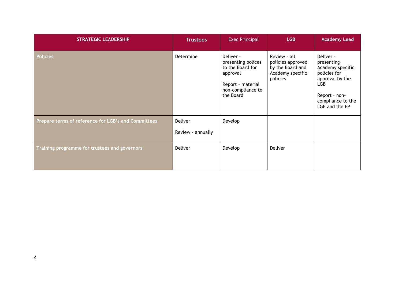| <b>STRATEGIC LEADERSHIP</b>                         | <b>Trustees</b>   | <b>Exec Principal</b>                                                                                                  | <b>LGB</b>                                                                            | <b>Academy Lead</b>                                                                                                                                  |
|-----------------------------------------------------|-------------------|------------------------------------------------------------------------------------------------------------------------|---------------------------------------------------------------------------------------|------------------------------------------------------------------------------------------------------------------------------------------------------|
| <b>Policies</b>                                     | Determine         | Deliver -<br>presenting polices<br>to the Board for<br>approval<br>Report - material<br>non-compliance to<br>the Board | Review - all<br>policies approved<br>by the Board and<br>Academy specific<br>policies | Deliver -<br>presenting<br>Academy specific<br>policies for<br>approval by the<br><b>LGB</b><br>Report - non-<br>compliance to the<br>LGB and the EP |
| Prepare terms of reference for LGB's and Committees | Deliver           | Develop                                                                                                                |                                                                                       |                                                                                                                                                      |
|                                                     | Review - annually |                                                                                                                        |                                                                                       |                                                                                                                                                      |
| Training programme for trustees and governors       | Deliver           | Develop                                                                                                                | Deliver                                                                               |                                                                                                                                                      |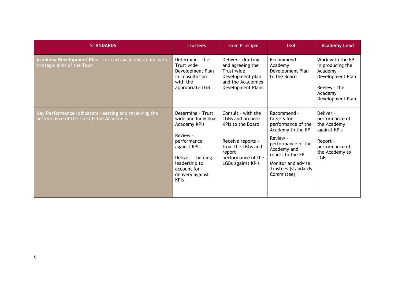| <b>STANDARDS</b>                                                                                   | <b>Trustees</b>                                                                                                                                                                             | <b>Exec Principal</b>                                                                                                                                             | <b>LGB</b>                                                                                                                                                                                            | <b>Academy Lead</b>                                                                                                      |
|----------------------------------------------------------------------------------------------------|---------------------------------------------------------------------------------------------------------------------------------------------------------------------------------------------|-------------------------------------------------------------------------------------------------------------------------------------------------------------------|-------------------------------------------------------------------------------------------------------------------------------------------------------------------------------------------------------|--------------------------------------------------------------------------------------------------------------------------|
| Academy Development Plan - for each Academy in line with<br>strategic aims of the Trust            | Determine - the<br>Trust wide<br>Development Plan<br>in consultation<br>with the<br>appropriate LGB                                                                                         | Deliver - drafting<br>and agreeing the<br>Trust wide<br>Development plan<br>and the Academies<br>Development Plans                                                | Recommend -<br>Academy<br>Development Plan<br>to the Board                                                                                                                                            | Work with the EP<br>in producing the<br>Academy<br>Development Plan<br>Review - the<br>Academy<br>Development Plan       |
| Key Performance Indicators - setting and reviewing the<br>performance of the Trust & the Academies | Determine - Trust<br>wide and Individual<br>Academy KPIs<br>Review -<br>performance<br>against KPIs<br>Deliver - holding<br>leadership to<br>account for<br>delivery against<br><b>KPIs</b> | Consult - with the<br>LGBs and propose<br><b>KPIs to the Board</b><br>Receive reports -<br>from the LBGs and<br>report<br>performance of the<br>LGBs against KPIs | Recommend -<br>targets for<br>performance of the<br>Academy to the EP<br>Review -<br>performance of the<br>Academy and<br>report to the EP<br>Monitor and advise<br>Trustees (standards<br>Committee) | Deliver -<br>performance of<br>the Academy<br>against KPIs<br>Report -<br>performance of<br>the Academy to<br><b>LGB</b> |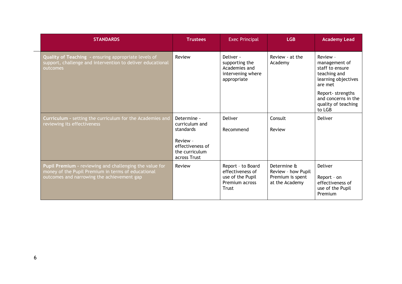| <b>STANDARDS</b>                                                                                                                                            | <b>Trustees</b>                                                | <b>Exec Principal</b>                                                                | <b>LGB</b>                                                              | <b>Academy Lead</b>                                                                            |
|-------------------------------------------------------------------------------------------------------------------------------------------------------------|----------------------------------------------------------------|--------------------------------------------------------------------------------------|-------------------------------------------------------------------------|------------------------------------------------------------------------------------------------|
| Quality of Teaching - ensuring appropriate levels of<br>support, challenge and intervention to deliver educational<br>outcomes                              | Review                                                         | Deliver -<br>supporting the<br>Academies and<br>intervening where<br>appropriate     | Review - at the<br>Academy                                              | Review -<br>management of<br>staff to ensure<br>teaching and<br>learning objectives<br>are met |
|                                                                                                                                                             |                                                                |                                                                                      |                                                                         | Report-strengths<br>and concerns in the<br>quality of teaching<br>to LGB                       |
| Curriculum - setting the curriculum for the Academies and<br>reviewing its effectiveness                                                                    | Determine -<br>curriculum and<br>standards                     | <b>Deliver</b><br>Recommend                                                          | Consult<br>Review                                                       | <b>Deliver</b>                                                                                 |
|                                                                                                                                                             | Review -<br>effectiveness of<br>the curriculum<br>across Trust |                                                                                      |                                                                         |                                                                                                |
| Pupil Premium - reviewing and challenging the value for<br>money of the Pupil Premium in terms of educational<br>outcomes and narrowing the achievement gap | Review                                                         | Report - to Board<br>effectiveness of<br>use of the Pupil<br>Premium across<br>Trust | Determine &<br>Review - how Pupil<br>Premium is spent<br>at the Academy | <b>Deliver</b><br>Report - on<br>effectiveness of<br>use of the Pupil<br>Premium               |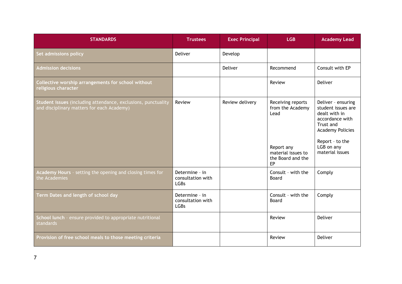| <b>STANDARDS</b>                                                                                            | <b>Trustees</b>                                    | <b>Exec Principal</b> | <b>LGB</b>                                                                                                   | <b>Academy Lead</b>                                                                                                                                                      |
|-------------------------------------------------------------------------------------------------------------|----------------------------------------------------|-----------------------|--------------------------------------------------------------------------------------------------------------|--------------------------------------------------------------------------------------------------------------------------------------------------------------------------|
| Set admissions policy                                                                                       | Deliver                                            | Develop               |                                                                                                              |                                                                                                                                                                          |
| <b>Admission decisions</b>                                                                                  |                                                    | Deliver               | Recommend                                                                                                    | Consult with EP                                                                                                                                                          |
| Collective worship arrangements for school without<br>religious character                                   |                                                    |                       | Review                                                                                                       | Deliver                                                                                                                                                                  |
| Student issues (including attendance, exclusions, punctuality<br>and disciplinary matters for each Academy) | Review                                             | Review delivery       | Receiving reports<br>from the Academy<br>Lead<br>Report any<br>material issues to<br>the Board and the<br>EP | Deliver - ensuring<br>student issues are<br>dealt with in<br>accordance with<br>Trust and<br><b>Academy Policies</b><br>Report - to the<br>LGB on any<br>material issues |
| Academy Hours - setting the opening and closing times for<br>the Academies                                  | Determine - in<br>consultation with<br><b>LGBs</b> |                       | Consult - with the<br>Board                                                                                  | Comply                                                                                                                                                                   |
| Term Dates and length of school day                                                                         | Determine - in<br>consultation with<br><b>LGBs</b> |                       | Consult - with the<br>Board                                                                                  | Comply                                                                                                                                                                   |
| School lunch - ensure provided to appropriate nutritional<br>standards                                      |                                                    |                       | Review                                                                                                       | Deliver                                                                                                                                                                  |
| Provision of free school meals to those meeting criteria                                                    |                                                    |                       | Review                                                                                                       | Deliver                                                                                                                                                                  |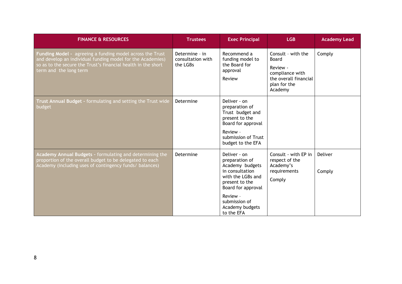| <b>FINANCE &amp; RESOURCES</b>                                                                                                                                                                                     | <b>Trustees</b>                                 | <b>Exec Principal</b>                                                                                                                              | <b>LGB</b>                                                                                                     | <b>Academy Lead</b> |
|--------------------------------------------------------------------------------------------------------------------------------------------------------------------------------------------------------------------|-------------------------------------------------|----------------------------------------------------------------------------------------------------------------------------------------------------|----------------------------------------------------------------------------------------------------------------|---------------------|
| Funding Model - agreeing a funding model across the Trust<br>and develop an individual funding model for the Academies)<br>so as to the secure the Trust's financial health in the short<br>term and the long term | Determine - in<br>consultation with<br>the LGBs | Recommend a<br>funding model to<br>the Board for<br>approval<br>Review                                                                             | Consult - with the<br>Board<br>Review -<br>compliance with<br>the overall financial<br>plan for the<br>Academy | Comply              |
| Trust Annual Budget - formulating and setting the Trust wide<br>budget                                                                                                                                             | Determine                                       | Deliver - on<br>preparation of<br>Trust budget and<br>present to the<br>Board for approval<br>Review -<br>submission of Trust<br>budget to the EFA |                                                                                                                |                     |
| Academy Annual Budgets - formulating and determining the<br>proportion of the overall budget to be delegated to each<br>Academy (including uses of contingency funds/ balances)                                    | Determine                                       | Deliver - on<br>preparation of<br>Academy budgets<br>in consultation<br>with the LGBs and<br>present to the<br>Board for approval<br>Review -      | Consult - with EP in<br>respect of the<br>Academy's<br>requirements<br>Comply                                  | Deliver<br>Comply   |
|                                                                                                                                                                                                                    |                                                 | submission of<br>Academy budgets<br>to the EFA                                                                                                     |                                                                                                                |                     |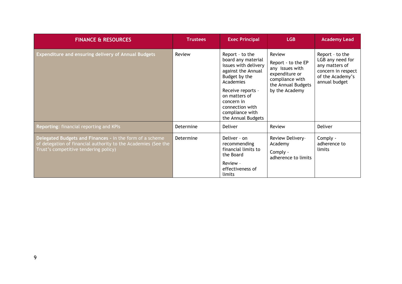| <b>FINANCE &amp; RESOURCES</b>                                                                                                                                      | <b>Trustees</b> | <b>Exec Principal</b>                                                                                                                                                                                                                    | <b>LGB</b>                                                                                                                   | <b>Academy Lead</b>                                                                                              |
|---------------------------------------------------------------------------------------------------------------------------------------------------------------------|-----------------|------------------------------------------------------------------------------------------------------------------------------------------------------------------------------------------------------------------------------------------|------------------------------------------------------------------------------------------------------------------------------|------------------------------------------------------------------------------------------------------------------|
| <b>Expenditure and ensuring delivery of Annual Budgets</b>                                                                                                          | Review          | Report - to the<br>board any material<br>issues with delivery<br>against the Annual<br>Budget by the<br><b>Academies</b><br>Receive reports -<br>on matters of<br>concern in<br>connection with<br>compliance with<br>the Annual Budgets | Review<br>Report - to the EP<br>any issues with<br>expenditure or<br>compliance with<br>the Annual Budgets<br>by the Academy | Report - to the<br>LGB any need for<br>any matters of<br>concern in respect<br>of the Academy's<br>annual budget |
| Reporting: financial reporting and KPIs                                                                                                                             | Determine       | <b>Deliver</b>                                                                                                                                                                                                                           | Review                                                                                                                       | Deliver                                                                                                          |
| Delegated Budgets and Finances - in the form of a scheme<br>of delegation of financial authority to the Academies (See the<br>Trust's competitive tendering policy) | Determine       | Deliver - on<br>recommending<br>financial limits to<br>the Board<br>Review -<br>effectiveness of<br>limits                                                                                                                               | Review Delivery-<br>Academy<br>Comply -<br>adherence to limits                                                               | Comply -<br>adherence to<br>limits                                                                               |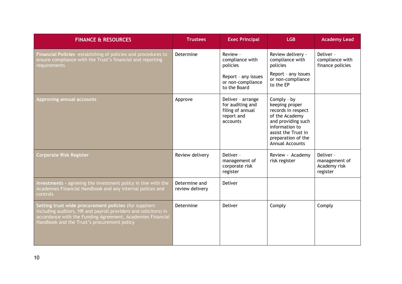| <b>FINANCE &amp; RESOURCES</b>                                                                                                                                                                                                         | <b>Trustees</b>                  | <b>Exec Principal</b>                                                                               | <b>LGB</b>                                                                                                                                                                           | <b>Academy Lead</b>                                    |
|----------------------------------------------------------------------------------------------------------------------------------------------------------------------------------------------------------------------------------------|----------------------------------|-----------------------------------------------------------------------------------------------------|--------------------------------------------------------------------------------------------------------------------------------------------------------------------------------------|--------------------------------------------------------|
| Financial Policies - establishing of policies and procedures to<br>ensure compliance with the Trust's financial and reporting<br>requirements                                                                                          | Determine                        | Review -<br>compliance with<br>policies<br>Report - any issues<br>or non-compliance<br>to the Board | Review delivery -<br>compliance with<br>policies<br>Report - any issues<br>or non-compliance<br>to the EP                                                                            | Deliver -<br>compliance with<br>finance policies       |
| <b>Approving annual accounts</b>                                                                                                                                                                                                       | Approve                          | Deliver - arrange<br>for auditing and<br>filing of annual<br>report and<br>accounts                 | Comply - by<br>keeping proper<br>records in respect<br>of the Academy<br>and providing such<br>information to<br>assist the Trust in<br>preparation of the<br><b>Annual Accounts</b> |                                                        |
| <b>Corporate Risk Register</b>                                                                                                                                                                                                         | Review delivery                  | Deliver -<br>management of<br>corporate risk<br>register                                            | Review - Academy<br>risk register                                                                                                                                                    | Deliver -<br>management of<br>Academy risk<br>register |
| Investments - agreeing the investment policy in line with the<br>Academies Financial Handbook and any internal polices and<br>controls                                                                                                 | Determine and<br>review delivery | Deliver                                                                                             |                                                                                                                                                                                      |                                                        |
| Setting trust wide procurement policies (for suppliers<br>including auditors, HR and payroll providers and solicitors) in<br>accordance with the Funding Agreement, Academies Financial<br>Handbook and the Trust's procurement policy | Determine                        | Deliver                                                                                             | Comply                                                                                                                                                                               | Comply                                                 |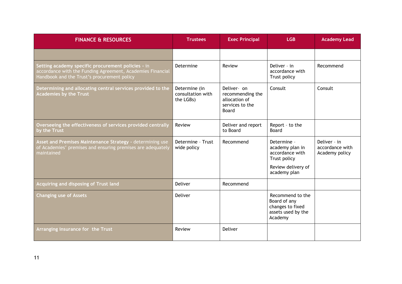| <b>FINANCE &amp; RESOURCES</b>                                                                                                                                  | <b>Trustees</b>                                 | <b>Exec Principal</b>                                                        | <b>LGB</b>                                                                                              | <b>Academy Lead</b>                               |
|-----------------------------------------------------------------------------------------------------------------------------------------------------------------|-------------------------------------------------|------------------------------------------------------------------------------|---------------------------------------------------------------------------------------------------------|---------------------------------------------------|
|                                                                                                                                                                 |                                                 |                                                                              |                                                                                                         |                                                   |
| Setting academy specific procurement policies - in<br>accordance with the Funding Agreement, Academies Financial<br>Handbook and the Trust's procurement policy | Determine                                       | Review                                                                       | Deliver - in<br>accordance with<br>Trust policy                                                         | Recommend                                         |
| Determining and allocating central services provided to the<br><b>Academies by the Trust</b>                                                                    | Determine (in<br>consultation with<br>the LGBs) | Deliver- on<br>recommending the<br>allocation of<br>services to the<br>Board | Consult                                                                                                 | Consult                                           |
| Overseeing the effectiveness of services provided centrally<br>by the Trust                                                                                     | Review                                          | Deliver and report<br>to Board                                               | Report - to the<br>Board                                                                                |                                                   |
| Asset and Premises Maintenance Strategy - determining use<br>of Academies' premises and ensuring premises are adequately<br>maintained                          | Determine - Trust<br>wide policy                | Recommend                                                                    | Determine -<br>academy plan in<br>accordance with<br>Trust policy<br>Review delivery of<br>academy plan | Deliver - in<br>accordance with<br>Academy policy |
| Acquiring and disposing of Trust land                                                                                                                           | Deliver                                         | Recommend                                                                    |                                                                                                         |                                                   |
| <b>Changing use of Assets</b>                                                                                                                                   | Deliver                                         |                                                                              | Recommend to the<br>Board of any<br>changes to fixed<br>assets used by the<br>Academy                   |                                                   |
| Arranging insurance for the Trust                                                                                                                               | Review                                          | <b>Deliver</b>                                                               |                                                                                                         |                                                   |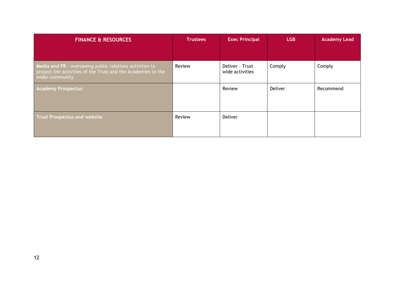| <b>FINANCE &amp; RESOURCES</b>                                                                                                              | <b>Trustees</b> | <b>Exec Principal</b>              | <b>LGB</b> | <b>Academy Lead</b> |
|---------------------------------------------------------------------------------------------------------------------------------------------|-----------------|------------------------------------|------------|---------------------|
|                                                                                                                                             |                 |                                    |            |                     |
| Media and PR - overseeing public relations activities to<br>project the activities of the Trust and the Academies to the<br>wider community | Review          | Deliver - Trust<br>wide activities | Comply     | Comply              |
| <b>Academy Prospectus</b>                                                                                                                   |                 | Review                             | Deliver    | Recommend           |
| <b>Trust Prospectus and website</b>                                                                                                         | Review          | Deliver                            |            |                     |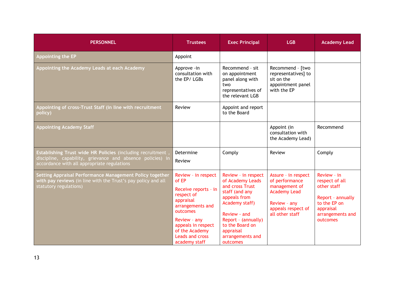| <b>PERSONNEL</b>                                                                                                                                                        | <b>Trustees</b>                                                                                                                                                                                                    | <b>Exec Principal</b>                                                                                                                                                                                                 | <b>LGB</b>                                                                                                                             | <b>Academy Lead</b>                                                                                                            |
|-------------------------------------------------------------------------------------------------------------------------------------------------------------------------|--------------------------------------------------------------------------------------------------------------------------------------------------------------------------------------------------------------------|-----------------------------------------------------------------------------------------------------------------------------------------------------------------------------------------------------------------------|----------------------------------------------------------------------------------------------------------------------------------------|--------------------------------------------------------------------------------------------------------------------------------|
| Appointing the EP                                                                                                                                                       | Appoint                                                                                                                                                                                                            |                                                                                                                                                                                                                       |                                                                                                                                        |                                                                                                                                |
| Appointing the Academy Leads at each Academy                                                                                                                            | Approve - in<br>consultation with<br>the EP/LGBs                                                                                                                                                                   | Recommend - sit<br>on appointment<br>panel along with<br>two<br>representatives of<br>the relevant LGB                                                                                                                | Recommend - [two<br>representatives] to<br>sit on the<br>appointment panel<br>with the EP                                              |                                                                                                                                |
| Appointing of cross-Trust Staff (in line with recruitment<br>policy)                                                                                                    | Review                                                                                                                                                                                                             | Appoint and report<br>to the Board                                                                                                                                                                                    |                                                                                                                                        |                                                                                                                                |
| <b>Appointing Academy Staff</b>                                                                                                                                         |                                                                                                                                                                                                                    |                                                                                                                                                                                                                       | Appoint (in<br>consultation with<br>the Academy Lead)                                                                                  | Recommend                                                                                                                      |
| Establishing Trust wide HR Policies (including recruitment<br>discipline, capability, grievance and absence policies) in<br>accordance with all appropriate regulations | Determine<br>Review                                                                                                                                                                                                | Comply                                                                                                                                                                                                                | Review                                                                                                                                 | Comply                                                                                                                         |
| Setting Appraisal Performance Management Policy together<br>with pay reviews (in line with the Trust's pay policy and all<br>statutory regulations)                     | Review - in respect<br>of EP<br>Receive reports - in<br>respect of<br>appraisal<br>arrangements and<br>outcomes<br>Review - any<br>appeals in respect<br>of the Academy<br><b>Leads and cross</b><br>academy staff | Review - in respect<br>of Academy Leads<br>and cross Trust<br>staff (and any<br>appeals from<br>Academy staff)<br>Review - and<br>Report - (annually)<br>to the Board on<br>appraisal<br>arrangements and<br>outcomes | Assure - in respect<br>of performance<br>management of<br><b>Academy Lead</b><br>Review - any<br>appeals respect of<br>all other staff | Review - in<br>respect of all<br>other staff<br>Report - annually<br>to the EP on<br>appraisal<br>arrangements and<br>outcomes |